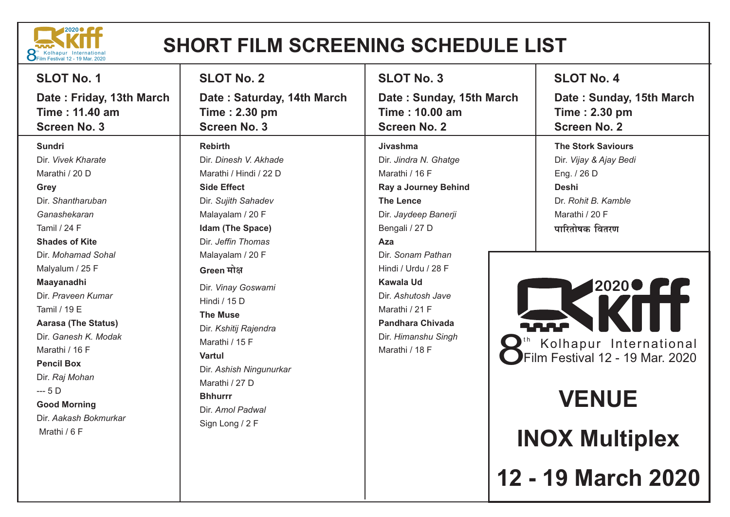

## **SHORT FILM SCREENING SCHEDULE LIST**

| <b>SLOT No. 1</b>                                                                                                                                                                                                                                                                                                                                                                                                                | <b>SLOT No. 2</b>                                                                                                                                                                                                                                                                                                                                                                                                                          | <b>SLOT No. 3</b>                                                                                                                                                                                                                                                                                                            | <b>SLOT No. 4</b>                                                                                                                                                                                                                                                                                    |
|----------------------------------------------------------------------------------------------------------------------------------------------------------------------------------------------------------------------------------------------------------------------------------------------------------------------------------------------------------------------------------------------------------------------------------|--------------------------------------------------------------------------------------------------------------------------------------------------------------------------------------------------------------------------------------------------------------------------------------------------------------------------------------------------------------------------------------------------------------------------------------------|------------------------------------------------------------------------------------------------------------------------------------------------------------------------------------------------------------------------------------------------------------------------------------------------------------------------------|------------------------------------------------------------------------------------------------------------------------------------------------------------------------------------------------------------------------------------------------------------------------------------------------------|
| Date: Friday, 13th March<br>Time: 11.40 am<br><b>Screen No. 3</b>                                                                                                                                                                                                                                                                                                                                                                | Date: Saturday, 14th March<br>Time: 2.30 pm<br><b>Screen No. 3</b>                                                                                                                                                                                                                                                                                                                                                                         | Date: Sunday, 15th March<br><b>Time: 10.00 am</b><br><b>Screen No. 2</b>                                                                                                                                                                                                                                                     | Date: Sunday, 15th March<br>Time: 2.30 pm<br><b>Screen No. 2</b>                                                                                                                                                                                                                                     |
| <b>Sundri</b><br>Dir. Vivek Kharate<br>Marathi / 20 D<br>Grey<br>Dir. Shantharuban<br>Ganashekaran<br>Tamil / 24 F<br><b>Shades of Kite</b><br>Dir. Mohamad Sohal<br>Malyalum / 25 F<br>Maayanadhi<br>Dir. Praveen Kumar<br>Tamil / 19 E<br><b>Aarasa (The Status)</b><br>Dir. Ganesh K. Modak<br>Marathi / 16 F<br><b>Pencil Box</b><br>Dir. Raj Mohan<br>$-5D$<br><b>Good Morning</b><br>Dir. Aakash Bokmurkar<br>Mrathi / 6 F | <b>Rebirth</b><br>Dir. Dinesh V. Akhade<br>Marathi / Hindi / 22 D<br><b>Side Effect</b><br>Dir. Sujith Sahadev<br>Malayalam / 20 F<br>Idam (The Space)<br>Dir. Jeffin Thomas<br>Malayalam / 20 F<br>Green मोक्ष<br>Dir. Vinay Goswami<br>Hindi / 15 D<br><b>The Muse</b><br>Dir. Kshitij Rajendra<br>Marathi / 15 F<br><b>Vartul</b><br>Dir. Ashish Ningunurkar<br>Marathi / 27 D<br><b>Bhhurrr</b><br>Dir. Amol Padwal<br>Sign Long / 2 F | Jivashma<br>Dir. Jindra N. Ghatge<br>Marathi / 16 F<br>Ray a Journey Behind<br><b>The Lence</b><br>Dir. Jaydeep Banerji<br>Bengali / 27 D<br>Aza<br>Dir. Sonam Pathan<br>Hindi / Urdu / 28 F<br><b>Kawala Ud</b><br>Dir. Ashutosh Jave<br>Marathi / 21 F<br><b>Pandhara Chivada</b><br>Dir. Himanshu Singh<br>Marathi / 18 F | <b>The Stork Saviours</b><br>Dir. Vijay & Ajay Bedi<br>Eng. / 26 D<br><b>Deshi</b><br>Dr. Rohit B. Kamble<br>Marathi / 20 F<br>पारितोषक वितरण<br>20200 FF<br><b>LA.P</b><br>Kolhapur International<br>Film Festival 12 - 19 Mar. 2020<br><b>VENUE</b><br><b>INOX Multiplex</b><br>12 - 19 March 2020 |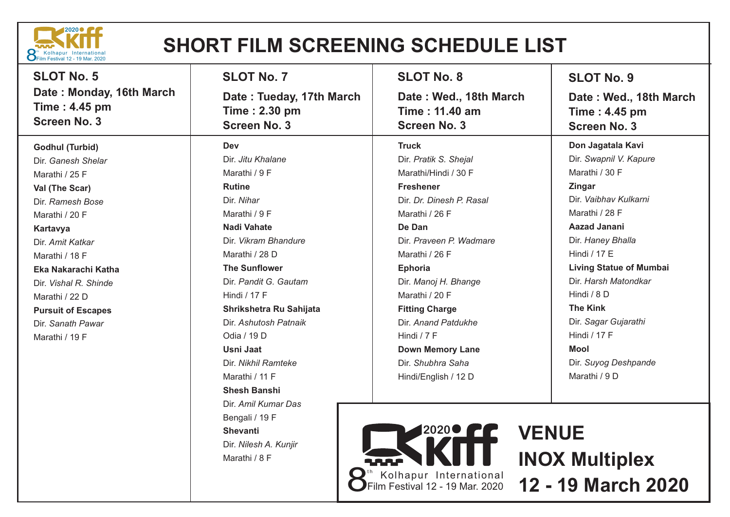

## **SHORT FILM SCREENING SCHEDULE LIST**

| <b>SLOT No. 5</b>                                                | <b>SLOT No. 7</b>                                                | <b>SLOT No. 8</b>                                               | <b>SLOT No. 9</b>                                              |
|------------------------------------------------------------------|------------------------------------------------------------------|-----------------------------------------------------------------|----------------------------------------------------------------|
| Date: Monday, 16th March<br>Time: 4.45 pm<br><b>Screen No. 3</b> | Date: Tueday, 17th March<br>Time: 2.30 pm<br><b>Screen No. 3</b> | Date: Wed., 18th March<br>Time: 11.40 am<br><b>Screen No. 3</b> | Date: Wed., 18th March<br>Time: 4.45 pm<br><b>Screen No. 3</b> |
| <b>Godhul (Turbid)</b>                                           | <b>Dev</b>                                                       | <b>Truck</b>                                                    | Don Jagatala Kavi                                              |
| Dir. Ganesh Shelar                                               | Dir. Jitu Khalane                                                | Dir. Pratik S. Shejal                                           | Dir. Swapnil V. Kapure                                         |
| Marathi / 25 F                                                   | Marathi / 9 F                                                    | Marathi/Hindi / 30 F                                            | Marathi / 30 F                                                 |
| Val (The Scar)                                                   | <b>Rutine</b>                                                    | <b>Freshener</b>                                                | <b>Zingar</b>                                                  |
| Dir. Ramesh Bose                                                 | Dir. Nihar                                                       | Dir. Dr. Dinesh P. Rasal                                        | Dir. Vaibhav Kulkarni                                          |
| Marathi / 20 F                                                   | Marathi / 9 F                                                    | Marathi / 26 F                                                  | Marathi / 28 F                                                 |
| Kartavya                                                         | <b>Nadi Vahate</b>                                               | De Dan                                                          | <b>Aazad Janani</b>                                            |
| Dir. Amit Katkar                                                 | Dir. Vikram Bhandure                                             | Dir. Praveen P. Wadmare                                         | Dir. Haney Bhalla                                              |
| Marathi / 18 F                                                   | Marathi / 28 D                                                   | Marathi / 26 F                                                  | Hindi / 17 E                                                   |
| Eka Nakarachi Katha                                              | <b>The Sunflower</b>                                             | Ephoria                                                         | <b>Living Statue of Mumbai</b>                                 |
| Dir. Vishal R. Shinde                                            | Dir. Pandit G. Gautam                                            | Dir. Manoj H. Bhange                                            | Dir. Harsh Matondkar                                           |
| Marathi / 22 D                                                   | <b>Hindi / 17 F</b>                                              | Marathi / 20 F                                                  | Hindi / 8 D                                                    |
| <b>Pursuit of Escapes</b>                                        | Shrikshetra Ru Sahijata                                          | <b>Fitting Charge</b>                                           | <b>The Kink</b>                                                |
| Dir. Sanath Pawar                                                | Dir. Ashutosh Patnaik                                            | Dir. Anand Patdukhe                                             | Dir. Sagar Gujarathi                                           |
| Marathi / 19 F                                                   | Odia / 19 D                                                      | Hindi $/7$ F                                                    | <b>Hindi / 17 F</b>                                            |
|                                                                  | Usni Jaat                                                        | <b>Down Memory Lane</b>                                         | <b>Mool</b>                                                    |
|                                                                  | Dir. Nikhil Ramteke                                              | Dir. Shubhra Saha                                               | Dir. Suyog Deshpande                                           |
|                                                                  | Marathi / 11 F                                                   | Hindi/English / 12 D                                            | Marathi / 9 D                                                  |
|                                                                  | <b>Shesh Banshi</b>                                              |                                                                 |                                                                |
|                                                                  | Dir. Amil Kumar Das                                              |                                                                 |                                                                |
|                                                                  | Bengali / 19 F                                                   |                                                                 |                                                                |
|                                                                  | <b>Shevanti</b>                                                  | <b>2020 CC</b>                                                  | <b>VENUE</b>                                                   |
|                                                                  | Dir. Nilesh A. Kunjir                                            |                                                                 |                                                                |
|                                                                  | Marathi / 8 F                                                    |                                                                 | <b>INOX Multiplex</b>                                          |
|                                                                  |                                                                  |                                                                 |                                                                |

**8**<sup>th</sup> Kolhapur International **12 - 19 March 2020**